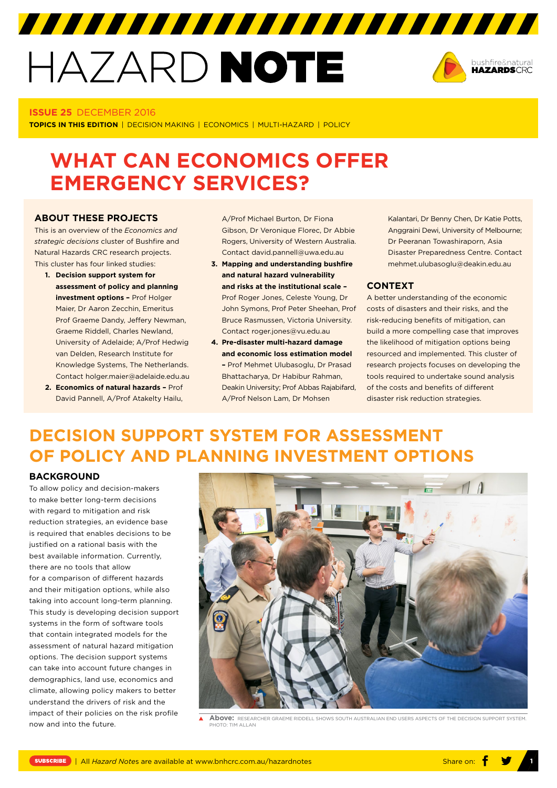# HAZARD NOTE



### **ISSUE 25** DECEMBER 2016

**TOPICS IN THIS EDITION** | DECISION MAKING | ECONOMICS | MULTI-HAZARD | POLICY

# **WHAT CAN ECONOMICS OFFER EMERGENCY SERVICES?**

### **ABOUT THESE PROJECTS**

This is an overview of the *Economics and strategic decisions* cluster of Bushfire and Natural Hazards CRC research projects. This cluster has four linked studies:

- **1. Decision support system for assessment of policy and planning investment options –** Prof Holger Maier, Dr Aaron Zecchin, Emeritus Prof Graeme Dandy, Jeffery Newman, Graeme Riddell, Charles Newland, University of Adelaide; A/Prof Hedwig van Delden, Research Institute for Knowledge Systems, The Netherlands. Contact [holger.maier@adelaide.edu.au](mailto:holger.maier@adelaide.edu.au)
- **2. Economics of natural hazards –** Prof David Pannell, A/Prof Atakelty Hailu,

A/Prof Michael Burton, Dr Fiona Gibson, Dr Veronique Florec, Dr Abbie Rogers, University of Western Australia. Contact [david.pannell@uwa.edu.au](mailto:david.pannell@uwa.edu.au)

- **3. Mapping and understanding bushfire and natural hazard vulnerability and risks at the institutional scale –** Prof Roger Jones, Celeste Young, Dr John Symons, Prof Peter Sheehan, Prof Bruce Rasmussen, Victoria University. Contact [roger.jones@vu.edu.au](mailto:roger.jones@vu.edu.au)
- **4. Pre-disaster multi-hazard damage and economic loss estimation model –** Prof Mehmet Ulubasoglu, Dr Prasad Bhattacharya, Dr Habibur Rahman, Deakin University; Prof Abbas Rajabifard, A/Prof Nelson Lam, Dr Mohsen

Kalantari, Dr Benny Chen, Dr Katie Potts, Anggraini Dewi, University of Melbourne; Dr Peeranan Towashiraporn, Asia Disaster Preparedness Centre. Contact [mehmet.ulubasoglu@deakin.edu.au](mailto:mehmet.ulubasoglu@deakin.edu.au) 

### **CONTEXT**

A better understanding of the economic costs of disasters and their risks, and the risk-reducing benefits of mitigation, can build a more compelling case that improves the likelihood of mitigation options being resourced and implemented. This cluster of research projects focuses on developing the tools required to undertake sound analysis of the costs and benefits of different disaster risk reduction strategies.

## **DECISION SUPPORT SYSTEM FOR ASSESSMENT OF POLICY AND PLANNING INVESTMENT OPTIONS**

### **BACKGROUND**

To allow policy and decision-makers to make better long-term decisions with regard to mitigation and risk reduction strategies, an evidence base is required that enables decisions to be justified on a rational basis with the best available information. Currently, there are no tools that allow for a comparison of different hazards and their mitigation options, while also taking into account long-term planning. This study is developing decision support systems in the form of software tools that contain integrated models for the assessment of natural hazard mitigation options. The decision support systems can take into account future changes in demographics, land use, economics and climate, allowing policy makers to better understand the drivers of risk and the impact of their policies on the risk profile now and into the future.



**Above:** RESEARCHER GRAEME RIDDELL SHOWS SOUTH AUSTRALIAN END USERS ASPECTS OF THE DECISION SUPPORT SYSTEM. PHOTO: TIM ALLAN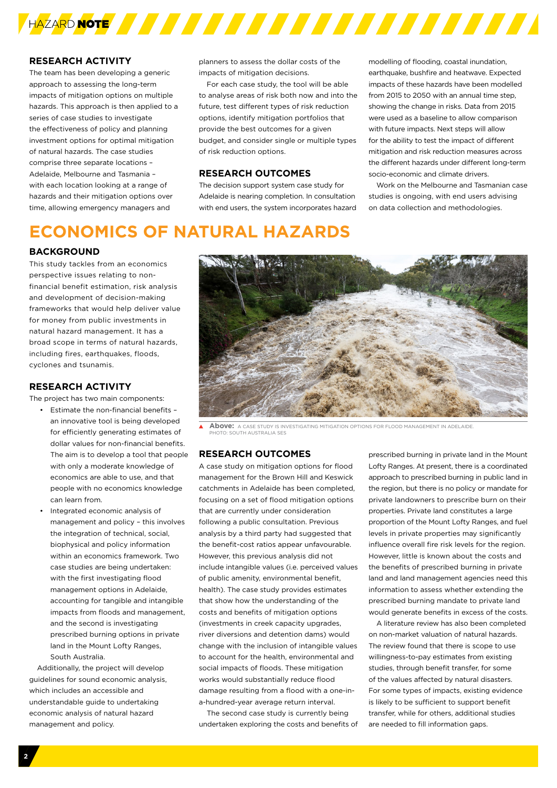

### **RESEARCH ACTIVITY**

The team has been developing a generic approach to assessing the long-term impacts of mitigation options on multiple hazards. This approach is then applied to a series of case studies to investigate the effectiveness of policy and planning investment options for optimal mitigation of natural hazards. The case studies comprise three separate locations – Adelaide, Melbourne and Tasmania – with each location looking at a range of hazards and their mitigation options over time, allowing emergency managers and

planners to assess the dollar costs of the impacts of mitigation decisions.

For each case study, the tool will be able to analyse areas of risk both now and into the future, test different types of risk reduction options, identify mitigation portfolios that provide the best outcomes for a given budget, and consider single or multiple types of risk reduction options.

### **RESEARCH OUTCOMES**

The decision support system case study for Adelaide is nearing completion. In consultation with end users, the system incorporates hazard modelling of flooding, coastal inundation, earthquake, bushfire and heatwave. Expected impacts of these hazards have been modelled from 2015 to 2050 with an annual time step, showing the change in risks. Data from 2015 were used as a baseline to allow comparison with future impacts. Next steps will allow for the ability to test the impact of different mitigation and risk reduction measures across the different hazards under different long-term socio-economic and climate drivers.

Work on the Melbourne and Tasmanian case studies is ongoing, with end users advising on data collection and methodologies.

# **ECONOMICS OF NATURAL HAZARDS**

### **BACKGROUND**

This study tackles from an economics perspective issues relating to nonfinancial benefit estimation, risk analysis and development of decision-making frameworks that would help deliver value for money from public investments in natural hazard management. It has a broad scope in terms of natural hazards, including fires, earthquakes, floods, cyclones and tsunamis.

### **RESEARCH ACTIVITY**

The project has two main components:

- Estimate the non-financial benefits an innovative tool is being developed for efficiently generating estimates of dollar values for non-financial benefits. The aim is to develop a tool that people with only a moderate knowledge of economics are able to use, and that people with no economics knowledge can learn from.
- Integrated economic analysis of management and policy – this involves the integration of technical, social, biophysical and policy information within an economics framework. Two case studies are being undertaken: with the first investigating flood management options in Adelaide, accounting for tangible and intangible impacts from floods and management, and the second is investigating prescribed burning options in private land in the Mount Lofty Ranges, South Australia.

Additionally, the project will develop guidelines for sound economic analysis, which includes an accessible and understandable guide to undertaking economic analysis of natural hazard management and policy.



**Above:** A CASE STUDY IS INVESTIGATING MITIGATION OPTIONS FOR FLOOD MANAGEMENT IN ADELAIDE.  $\blacktriangle$ **PHOTO: SOUTH AUSTRALIA SES** 

### **RESEARCH OUTCOMES**

A case study on mitigation options for flood management for the Brown Hill and Keswick catchments in Adelaide has been completed, focusing on a set of flood mitigation options that are currently under consideration following a public consultation. Previous analysis by a third party had suggested that the benefit-cost ratios appear unfavourable. However, this previous analysis did not include intangible values (i.e. perceived values of public amenity, environmental benefit, health). The case study provides estimates that show how the understanding of the costs and benefits of mitigation options (investments in creek capacity upgrades, river diversions and detention dams) would change with the inclusion of intangible values to account for the health, environmental and social impacts of floods. These mitigation works would substantially reduce flood damage resulting from a flood with a one-ina-hundred-year average return interval.

The second case study is currently being undertaken exploring the costs and benefits of prescribed burning in private land in the Mount Lofty Ranges. At present, there is a coordinated approach to prescribed burning in public land in the region, but there is no policy or mandate for private landowners to prescribe burn on their properties. Private land constitutes a large proportion of the Mount Lofty Ranges, and fuel levels in private properties may significantly influence overall fire risk levels for the region. However, little is known about the costs and the benefits of prescribed burning in private land and land management agencies need this information to assess whether extending the prescribed burning mandate to private land would generate benefits in excess of the costs.

A literature review has also been completed on non-market valuation of natural hazards. The review found that there is scope to use willingness-to-pay estimates from existing studies, through benefit transfer, for some of the values affected by natural disasters. For some types of impacts, existing evidence is likely to be sufficient to support benefit transfer, while for others, additional studies are needed to fill information gaps.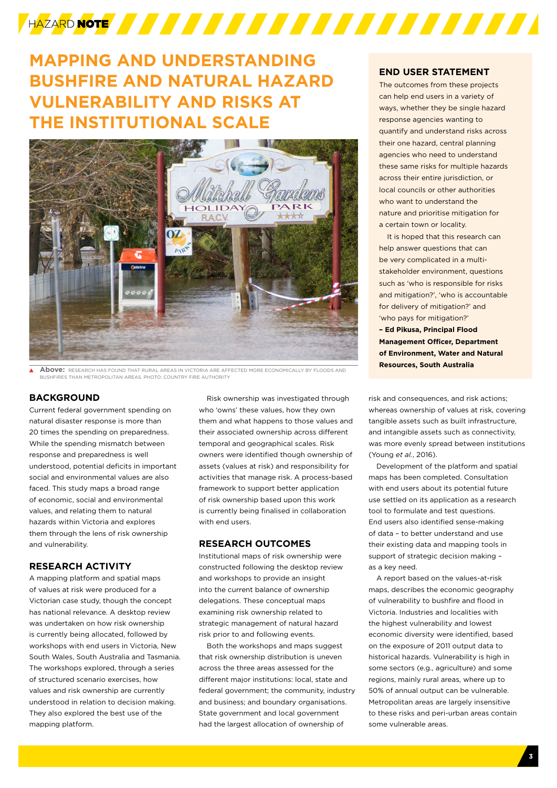# 

# **MAPPING AND UNDERSTANDING BUSHFIRE AND NATURAL HAZARD VULNERABILITY AND RISKS AT THE INSTITUTIONAL SCALE**



**Above:** RESEARCH HAS FOUND THAT RURAL AREAS IN VICTORIA ARE AFFECTED MORE ECONOMICALLY BY FLOODS AND **Resources, South Australia** BES THAN METROPOLITAN AREAS. PHOTO: COUNTRY FIRE AUTHORIT

### **BACKGROUND**

Current federal government spending on natural disaster response is more than 20 times the spending on preparedness. While the spending mismatch between response and preparedness is well understood, potential deficits in important social and environmental values are also faced. This study maps a broad range of economic, social and environmental values, and relating them to natural hazards within Victoria and explores them through the lens of risk ownership and vulnerability.

### **RESEARCH ACTIVITY**

A mapping platform and spatial maps of values at risk were produced for a Victorian case study, though the concept has national relevance. A desktop review was undertaken on how risk ownership is currently being allocated, followed by workshops with end users in Victoria, New South Wales, South Australia and Tasmania. The workshops explored, through a series of structured scenario exercises, how values and risk ownership are currently understood in relation to decision making. They also explored the best use of the mapping platform.

Risk ownership was investigated through who 'owns' these values, how they own them and what happens to those values and their associated ownership across different temporal and geographical scales. Risk owners were identified though ownership of assets (values at risk) and responsibility for activities that manage risk. A process-based framework to support better application of risk ownership based upon this work is currently being finalised in collaboration with end users.

### **RESEARCH OUTCOMES**

Institutional maps of risk ownership were constructed following the desktop review and workshops to provide an insight into the current balance of ownership delegations. These conceptual maps examining risk ownership related to strategic management of natural hazard risk prior to and following events.

Both the workshops and maps suggest that risk ownership distribution is uneven across the three areas assessed for the different major institutions: local, state and federal government; the community, industry and business; and boundary organisations. State government and local government had the largest allocation of ownership of

### **END USER STATEMENT**

The outcomes from these projects can help end users in a variety of ways, whether they be single hazard response agencies wanting to quantify and understand risks across their one hazard, central planning agencies who need to understand these same risks for multiple hazards across their entire jurisdiction, or local councils or other authorities who want to understand the nature and prioritise mitigation for a certain town or locality.

It is hoped that this research can help answer questions that can be very complicated in a multistakeholder environment, questions such as 'who is responsible for risks and mitigation?', 'who is accountable for delivery of mitigation?' and 'who pays for mitigation?' **– Ed Pikusa, Principal Flood Management Officer, Department of Environment, Water and Natural** 

risk and consequences, and risk actions; whereas ownership of values at risk, covering tangible assets such as built infrastructure, and intangible assets such as connectivity, was more evenly spread between institutions (Young *et al.*, 2016).

Development of the platform and spatial maps has been completed. Consultation with end users about its potential future use settled on its application as a research tool to formulate and test questions. End users also identified sense-making of data – to better understand and use their existing data and mapping tools in support of strategic decision making – as a key need.

A report based on the values-at-risk maps, describes the economic geography of vulnerability to bushfire and flood in Victoria. Industries and localities with the highest vulnerability and lowest economic diversity were identified, based on the exposure of 2011 output data to historical hazards. Vulnerability is high in some sectors (e.g., agriculture) and some regions, mainly rural areas, where up to 50% of annual output can be vulnerable. Metropolitan areas are largely insensitive to these risks and peri-urban areas contain some vulnerable areas.